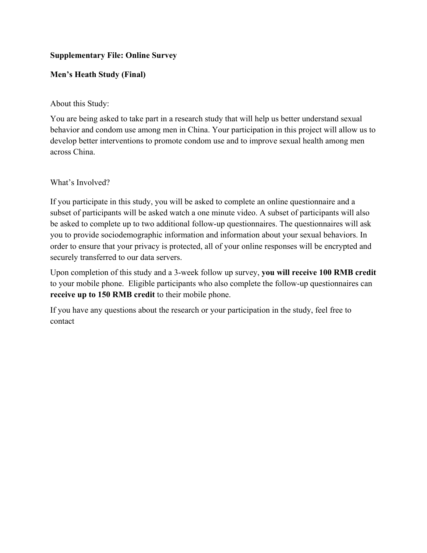## **Supplementary File: Online Survey**

## **Men's Heath Study (Final)**

About this Study:

You are being asked to take part in a research study that will help us better understand sexual behavior and condom use among men in China. Your participation in this project will allow us to develop better interventions to promote condom use and to improve sexual health among men across China.

What's Involved?

If you participate in this study, you will be asked to complete an online questionnaire and a subset of participants will be asked watch a one minute video. A subset of participants will also be asked to complete up to two additional follow-up questionnaires. The questionnaires will ask you to provide sociodemographic information and information about your sexual behaviors. In order to ensure that your privacy is protected, all of your online responses will be encrypted and securely transferred to our data servers.

Upon completion of this study and a 3-week follow up survey, **you will receive 100 RMB credit**  to your mobile phone. Eligible participants who also complete the follow-up questionnaires can **receive up to 150 RMB credit** to their mobile phone.

If you have any questions about the research or your participation in the study, feel free to contact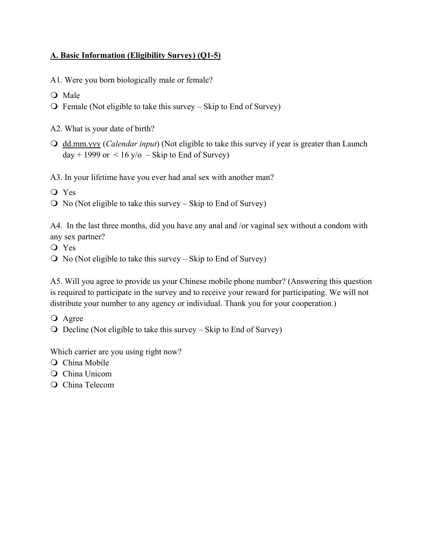## **A. Basic Information (Eligibility Survey) (Q1-5)**

A1. Were you born biologically male or female?

- O Male
- $\overline{O}$  Female (Not eligible to take this survey Skip to End of Survey)
- A2. What is your date of birth?
- dd.mm.yyy (*Calendar input*) (Not eligible to take this survey if year is greater than Launch  $day + 1999$  or  $\lt 16$  y/o – Skip to End of Survey)

A3. In your lifetime have you ever had anal sex with another man?

- Yes
- $\overline{O}$  No (Not eligible to take this survey Skip to End of Survey)

A4. In the last three months, did you have any anal and /or vaginal sex without a condom with any sex partner?

- Yes
- $\overline{O}$  No (Not eligible to take this survey Skip to End of Survey)

A5. Will you agree to provide us your Chinese mobile phone number? (Answering this question is required to participate in the survey and to receive your reward for participating. We will not distribute your number to any agency or individual. Thank you for your cooperation.)

- Agree
- $\Omega$  Decline (Not eligible to take this survey Skip to End of Survey)

Which carrier are you using right now?

- Q China Mobile
- China Unicom
- O China Telecom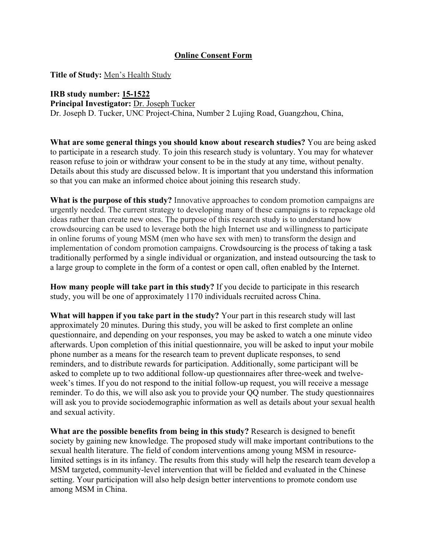## **Online Consent Form**

**Title of Study:** Men's Health Study

### **IRB study number: 15-1522**

**Principal Investigator:** Dr. Joseph Tucker

Dr. Joseph D. Tucker, UNC Project-China, Number 2 Lujing Road, Guangzhou, China,

**What are some general things you should know about research studies?** You are being asked to participate in a research study*.* To join this research study is voluntary. You may for whatever reason refuse to join or withdraw your consent to be in the study at any time, without penalty. Details about this study are discussed below. It is important that you understand this information so that you can make an informed choice about joining this research study.

**What is the purpose of this study?** Innovative approaches to condom promotion campaigns are urgently needed. The current strategy to developing many of these campaigns is to repackage old ideas rather than create new ones. The purpose of this research study is to understand how crowdsourcing can be used to leverage both the high Internet use and willingness to participate in online forums of young MSM (men who have sex with men) to transform the design and implementation of condom promotion campaigns. Crowdsourcing is the process of taking a task traditionally performed by a single individual or organization, and instead outsourcing the task to a large group to complete in the form of a contest or open call, often enabled by the Internet.

**How many people will take part in this study?** If you decide to participate in this research study, you will be one of approximately 1170 individuals recruited across China.

**What will happen if you take part in the study?** Your part in this research study will last approximately 20 minutes. During this study, you will be asked to first complete an online questionnaire, and depending on your responses, you may be asked to watch a one minute video afterwards. Upon completion of this initial questionnaire, you will be asked to input your mobile phone number as a means for the research team to prevent duplicate responses, to send reminders, and to distribute rewards for participation. Additionally, some participant will be asked to complete up to two additional follow-up questionnaires after three-week and twelveweek's times. If you do not respond to the initial follow-up request, you will receive a message reminder. To do this, we will also ask you to provide your QQ number. The study questionnaires will ask you to provide sociodemographic information as well as details about your sexual health and sexual activity.

**What are the possible benefits from being in this study?** Research is designed to benefit society by gaining new knowledge. The proposed study will make important contributions to the sexual health literature. The field of condom interventions among young MSM in resourcelimited settings is in its infancy. The results from this study will help the research team develop a MSM targeted, community-level intervention that will be fielded and evaluated in the Chinese setting. Your participation will also help design better interventions to promote condom use among MSM in China.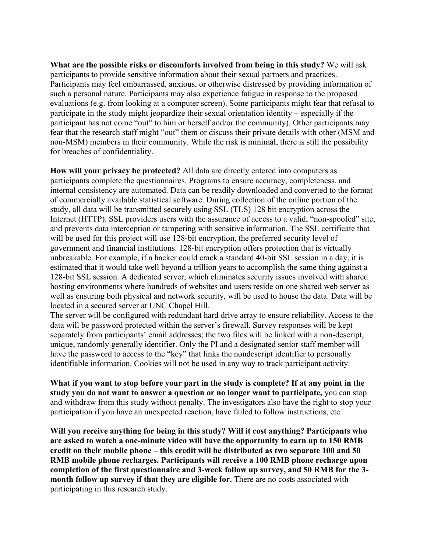**What are the possible risks or discomforts involved from being in this study?** We will ask participants to provide sensitive information about their sexual partners and practices. Participants may feel embarrassed, anxious, or otherwise distressed by providing information of such a personal nature. Participants may also experience fatigue in response to the proposed evaluations (e.g. from looking at a computer screen). Some participants might fear that refusal to participate in the study might jeopardize their sexual orientation identity – especially if the participant has not come "out" to him or herself and/or the community). Other participants may fear that the research staff might "out" them or discuss their private details with other (MSM and non-MSM) members in their community. While the risk is minimal, there is still the possibility for breaches of confidentiality.

**How will your privacy be protected?** All data are directly entered into computers as participants complete the questionnaires. Programs to ensure accuracy, completeness, and internal consistency are automated. Data can be readily downloaded and converted to the format of commercially available statistical software. During collection of the online portion of the study, all data will be transmitted securely using SSL (TLS) 128 bit encryption across the Internet (HTTP). SSL providers users with the assurance of access to a valid, "non-spoofed" site, and prevents data interception or tampering with sensitive information. The SSL certificate that will be used for this project will use 128-bit encryption, the preferred security level of government and financial institutions. 128-bit encryption offers protection that is virtually unbreakable. For example, if a hacker could crack a standard 40-bit SSL session in a day, it is estimated that it would take well beyond a trillion years to accomplish the same thing against a 128-bit SSL session. A dedicated server, which eliminates security issues involved with shared hosting environments where hundreds of websites and users reside on one shared web server as well as ensuring both physical and network security, will be used to house the data. Data will be located in a secured server at UNC Chapel Hill.

The server will be configured with redundant hard drive array to ensure reliability. Access to the data will be password protected within the server's firewall. Survey responses will be kept separately from participants' email addresses; the two files will be linked with a non-descript, unique, randomly generally identifier. Only the PI and a designated senior staff member will have the password to access to the "key" that links the nondescript identifier to personally identifiable information. Cookies will not be used in any way to track participant activity.

**What if you want to stop before your part in the study is complete? If at any point in the study you do not want to answer a question or no longer want to participate,** you can stop and withdraw from this study without penalty. The investigators also have the right to stop your participation if you have an unexpected reaction, have failed to follow instructions, etc.

**Will you receive anything for being in this study? Will it cost anything? Participants who are asked to watch a one-minute video will have the opportunity to earn up to 150 RMB credit on their mobile phone – this credit will be distributed as two separate 100 and 50 RMB mobile phone recharges. Participants will receive a 100 RMB phone recharge upon completion of the first questionnaire and 3-week follow up survey, and 50 RMB for the 3 month follow up survey if that they are eligible for.** There are no costs associated with participating in this research study.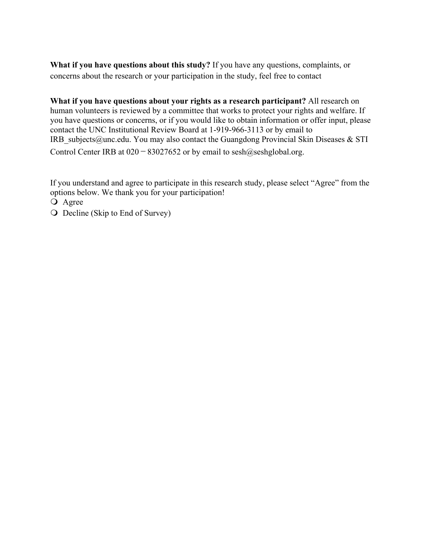**What if you have questions about this study?** If you have any questions, complaints, or concerns about the research or your participation in the study, feel free to contact

**What if you have questions about your rights as a research participant?** All research on human volunteers is reviewed by a committee that works to protect your rights and welfare. If you have questions or concerns, or if you would like to obtain information or offer input, please contact the UNC Institutional Review Board at 1-919-966-3113 or by email to IRB subjects@unc.edu. You may also contact the Guangdong Provincial Skin Diseases & STI Control Center IRB at  $020 - 83027652$  or by email to sesh $@$ seshglobal.org.

If you understand and agree to participate in this research study, please select "Agree" from the options below. We thank you for your participation!

O Agree

Q Decline (Skip to End of Survey)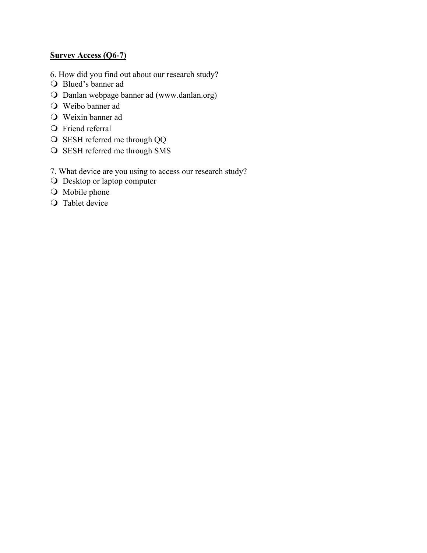## **Survey Access (Q6-7)**

- 6. How did you find out about our research study?
- Blued's banner ad
- Danlan webpage banner ad (www.danlan.org)
- Weibo banner ad
- Weixin banner ad
- **O** Friend referral
- O SESH referred me through QQ
- O SESH referred me through SMS
- 7. What device are you using to access our research study?
- Desktop or laptop computer
- O Mobile phone
- **O** Tablet device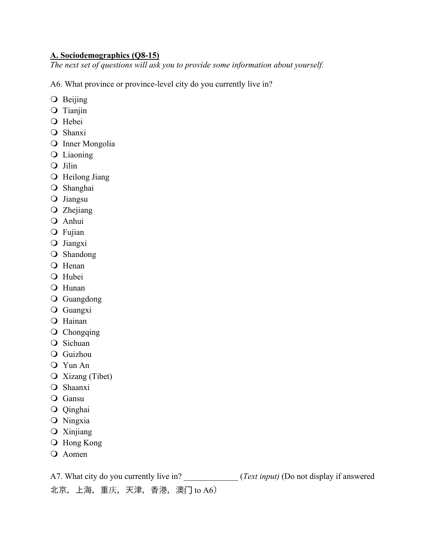## **A. Sociodemographics (Q8-15)**

*The next set of questions will ask you to provide some information about yourself.*

A6. What province or province-level city do you currently live in?

- O Beijing
- Tianjin
- O Hebei
- O Shanxi
- O Inner Mongolia
- Liaoning
- Q Jilin
- O Heilong Jiang
- O Shanghai
- Jiangsu
- Zhejiang
- Anhui
- O Fujian
- O Jiangxi
- O Shandong
- O Henan
- O Hubei
- Hunan
- Guangdong
- Guangxi
- O Hainan
- Q Chongqing
- Q Sichuan
- Guizhou
- Yun An
- Xizang (Tibet)
- Shaanxi
- Q Gansu
- Qinghai
- Ningxia
- Xinjiang
- Hong Kong
- Q Aomen

A7. What city do you currently live in? \_\_\_\_\_\_\_\_\_\_\_\_ (*Text input)* (Do not display if answered 北京,上海,重庆,天津,香港,澳门 to A6)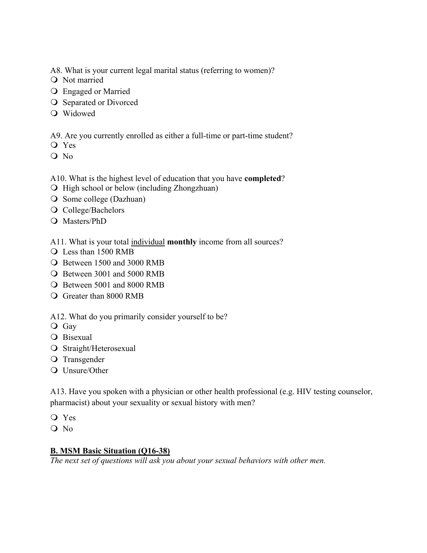A8. What is your current legal marital status (referring to women)?

- O Not married
- Engaged or Married
- O Separated or Divorced
- Widowed

A9. Are you currently enrolled as either a full-time or part-time student?

- Yes
- No

## A10. What is the highest level of education that you have **completed**?

- $\bigcirc$  High school or below (including Zhongzhuan)
- O Some college (Dazhuan)
- O College/Bachelors
- Masters/PhD
- A11. What is your total individual **monthly** income from all sources?
- Less than 1500 RMB
- Between 1500 and 3000 RMB
- Between 3001 and 5000 RMB
- Between 5001 and 8000 RMB
- Greater than 8000 RMB

A12. What do you primarily consider yourself to be?

- Gay
- Q Bisexual
- O Straight/Heterosexual
- O Transgender
- Q Unsure/Other

A13. Have you spoken with a physician or other health professional (e.g. HIV testing counselor, pharmacist) about your sexuality or sexual history with men?

- Yes
- O No

### **B. MSM Basic Situation (Q16-38)**

*The next set of questions will ask you about your sexual behaviors with other men.*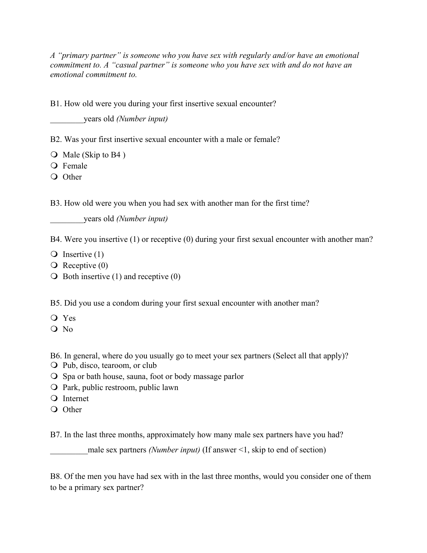*A "primary partner" is someone who you have sex with regularly and/or have an emotional commitment to. A "casual partner" is someone who you have sex with and do not have an emotional commitment to.*

B1. How old were you during your first insertive sexual encounter?

\_\_\_\_\_\_\_\_years old *(Number input)*

B2. Was your first insertive sexual encounter with a male or female?

 $\overline{O}$  Male (Skip to B4)

O Female

O Other

B3. How old were you when you had sex with another man for the first time?

\_\_\_\_\_\_\_\_years old *(Number input)*

B4. Were you insertive (1) or receptive (0) during your first sexual encounter with another man?

- $\overline{Q}$  Insertive (1)
- $\overline{Q}$  Receptive (0)
- $\bigcirc$  Both insertive (1) and receptive (0)

B5. Did you use a condom during your first sexual encounter with another man?

- Yes
- O No

B6. In general, where do you usually go to meet your sex partners (Select all that apply)?

- Pub, disco, tearoom, or club
- O Spa or bath house, sauna, foot or body massage parlor
- O Park, public restroom, public lawn
- Q Internet
- O Other

B7. In the last three months, approximately how many male sex partners have you had?

\_\_\_\_\_\_\_\_\_male sex partners *(Number input)* (If answer <1, skip to end of section)

B8. Of the men you have had sex with in the last three months, would you consider one of them to be a primary sex partner?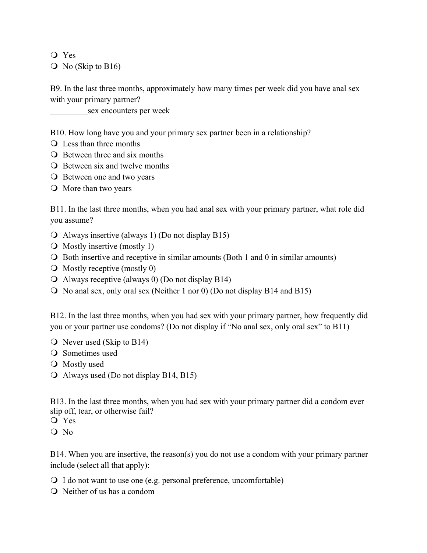Yes

 $\overline{O}$  No (Skip to B16)

B9. In the last three months, approximately how many times per week did you have anal sex with your primary partner?

sex encounters per week

B10. How long have you and your primary sex partner been in a relationship?

- Q Less than three months
- **Q** Between three and six months
- $\overline{O}$  Between six and twelve months
- **O** Between one and two years
- O More than two years

B11. In the last three months, when you had anal sex with your primary partner, what role did you assume?

- Always insertive (always 1) (Do not display B15)
- $\overline{O}$  Mostly insertive (mostly 1)
- $\overline{O}$  Both insertive and receptive in similar amounts (Both 1 and 0 in similar amounts)
- $\overline{O}$  Mostly receptive (mostly 0)
- Always receptive (always 0) (Do not display B14)
- No anal sex, only oral sex (Neither 1 nor 0) (Do not display B14 and B15)

B12. In the last three months, when you had sex with your primary partner, how frequently did you or your partner use condoms? (Do not display if "No anal sex, only oral sex" to B11)

- $\overline{O}$  Never used (Skip to B14)
- Q Sometimes used
- Mostly used
- Always used (Do not display B14, B15)

B13. In the last three months, when you had sex with your primary partner did a condom ever slip off, tear, or otherwise fail?

- Yes
- $O$  No

B14. When you are insertive, the reason(s) you do not use a condom with your primary partner include (select all that apply):

I do not want to use one (e.g. personal preference, uncomfortable)

Neither of us has a condom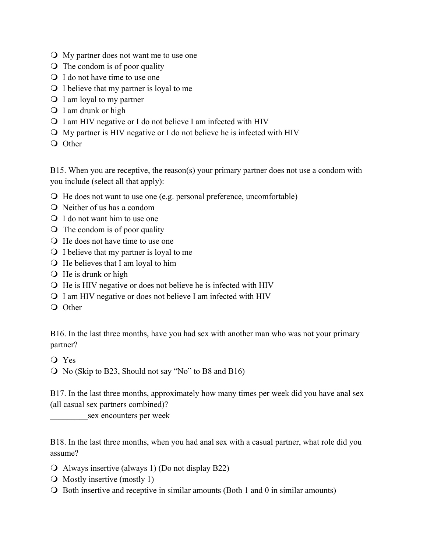- My partner does not want me to use one
- $\overline{O}$  The condom is of poor quality
- Q I do not have time to use one
- $\bigcirc$  I believe that my partner is loyal to me
- $\bigcirc$  I am loyal to my partner
- Q I am drunk or high
- I am HIV negative or I do not believe I am infected with HIV
- My partner is HIV negative or I do not believe he is infected with HIV
- O Other

B15. When you are receptive, the reason(s) your primary partner does not use a condom with you include (select all that apply):

- He does not want to use one (e.g. personal preference, uncomfortable)
- Neither of us has a condom
- Q I do not want him to use one
- $\overline{Q}$  The condom is of poor quality
- He does not have time to use one
- $\bigcirc$  I believe that my partner is loyal to me
- $\bigcirc$  He believes that I am loyal to him
- $\bigcirc$  He is drunk or high
- $\bigcirc$  He is HIV negative or does not believe he is infected with HIV
- I am HIV negative or does not believe I am infected with HIV
- O Other

B16. In the last three months, have you had sex with another man who was not your primary partner?

Yes

No (Skip to B23, Should not say "No" to B8 and B16)

B17. In the last three months, approximately how many times per week did you have anal sex (all casual sex partners combined)?

sex encounters per week

B18. In the last three months, when you had anal sex with a casual partner, what role did you assume?

- Always insertive (always 1) (Do not display B22)
- Mostly insertive (mostly 1)
- Both insertive and receptive in similar amounts (Both 1 and 0 in similar amounts)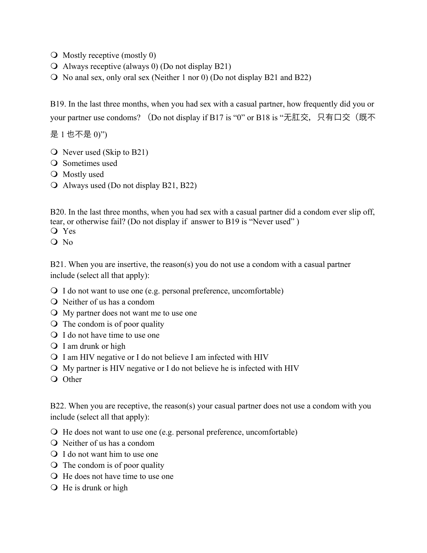- $\overline{O}$  Mostly receptive (mostly 0)
- $\Omega$  Always receptive (always 0) (Do not display B21)
- No anal sex, only oral sex (Neither 1 nor 0) (Do not display B21 and B22)

B19. In the last three months, when you had sex with a casual partner, how frequently did you or your partner use condoms? (Do not display if B17 is "0" or B18 is "无肛交, 只有口交(既不

是 1 也不是 0)")

- $\overline{O}$  Never used (Skip to B21)
- Q Sometimes used
- Mostly used
- Always used (Do not display B21, B22)

B20. In the last three months, when you had sex with a casual partner did a condom ever slip off, tear, or otherwise fail? (Do not display if answer to B19 is "Never used" )

Yes

Q No

B21. When you are insertive, the reason(s) you do not use a condom with a casual partner include (select all that apply):

- I do not want to use one (e.g. personal preference, uncomfortable)
- Neither of us has a condom
- My partner does not want me to use one
- $\overline{O}$  The condom is of poor quality
- Q I do not have time to use one
- Q I am drunk or high
- I am HIV negative or I do not believe I am infected with HIV
- My partner is HIV negative or I do not believe he is infected with HIV
- O Other

B22. When you are receptive, the reason(s) your casual partner does not use a condom with you include (select all that apply):

- He does not want to use one (e.g. personal preference, uncomfortable)
- Neither of us has a condom
- Q I do not want him to use one
- $\overline{Q}$  The condom is of poor quality
- He does not have time to use one
- $\bigcirc$  He is drunk or high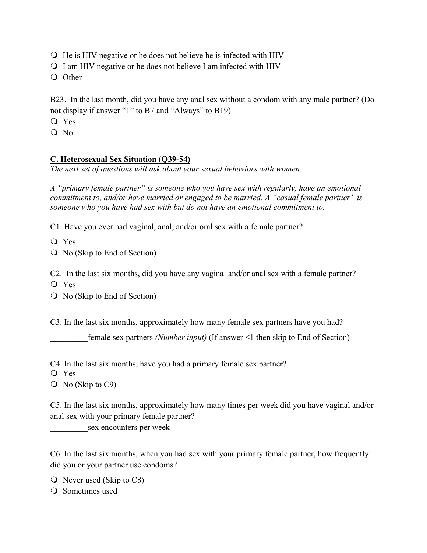- $\overline{Q}$  He is HIV negative or he does not believe he is infected with HIV
- I am HIV negative or he does not believe I am infected with HIV
- O Other

B23. In the last month, did you have any anal sex without a condom with any male partner? (Do not display if answer "1" to B7 and "Always" to B19)

- Yes
- $O$  No

## **C. Heterosexual Sex Situation (Q39-54)**

*The next set of questions will ask about your sexual behaviors with women.* 

*A "primary female partner" is someone who you have sex with regularly, have an emotional commitment to, and/or have married or engaged to be married. A "casual female partner" is someone who you have had sex with but do not have an emotional commitment to.*

C1. Have you ever had vaginal, anal, and/or oral sex with a female partner?

Yes

No (Skip to End of Section)

C2. In the last six months, did you have any vaginal and/or anal sex with a female partner?

Yes

No (Skip to End of Section)

C3. In the last six months, approximately how many female sex partners have you had?

\_\_\_\_\_\_\_\_\_female sex partners *(Number input)* (If answer <1 then skip to End of Section)

C4. In the last six months, have you had a primary female sex partner?

Yes

Q No (Skip to C9)

C5. In the last six months, approximately how many times per week did you have vaginal and/or anal sex with your primary female partner?

sex encounters per week

C6. In the last six months, when you had sex with your primary female partner, how frequently did you or your partner use condoms?

 $\overline{O}$  Never used (Skip to C8)

Q Sometimes used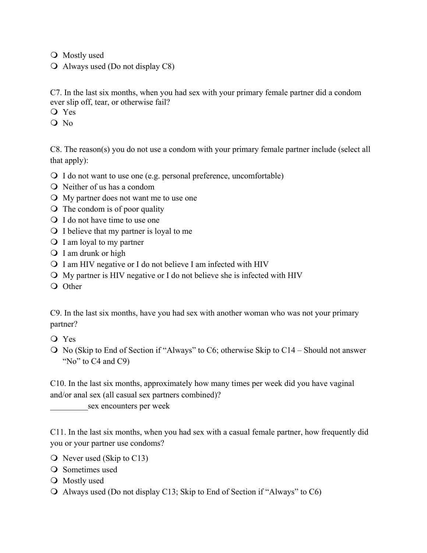Mostly used

Always used (Do not display C8)

C7. In the last six months, when you had sex with your primary female partner did a condom ever slip off, tear, or otherwise fail?

Yes

 $O$  No

C8. The reason(s) you do not use a condom with your primary female partner include (select all that apply):

I do not want to use one (e.g. personal preference, uncomfortable)

Neither of us has a condom

My partner does not want me to use one

 $\overline{O}$  The condom is of poor quality

Q I do not have time to use one

 $\bigcirc$  I believe that my partner is loyal to me

 $\bigcirc$  I am loyal to my partner

Q I am drunk or high

 $\Omega$  I am HIV negative or I do not believe I am infected with HIV

My partner is HIV negative or I do not believe she is infected with HIV

Q Other

C9. In the last six months, have you had sex with another woman who was not your primary partner?

Yes

 $\bigcirc$  No (Skip to End of Section if "Always" to C6; otherwise Skip to C14 – Should not answer "No" to C4 and C9)

C10. In the last six months, approximately how many times per week did you have vaginal and/or anal sex (all casual sex partners combined)?

sex encounters per week

C11. In the last six months, when you had sex with a casual female partner, how frequently did you or your partner use condoms?

 $\overline{O}$  Never used (Skip to C13)

O Sometimes used

O Mostly used

Always used (Do not display C13; Skip to End of Section if "Always" to C6)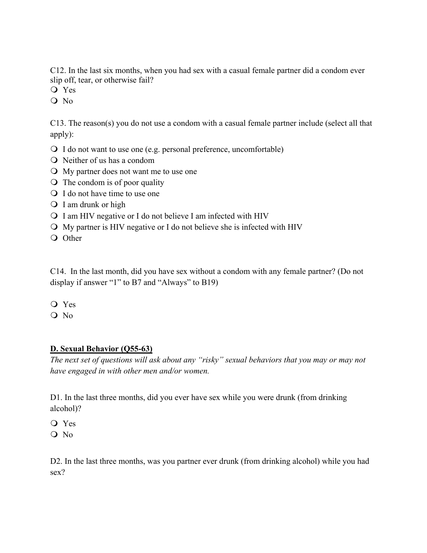C12. In the last six months, when you had sex with a casual female partner did a condom ever slip off, tear, or otherwise fail?

Yes

Q No

C13. The reason(s) you do not use a condom with a casual female partner include (select all that apply):

- I do not want to use one (e.g. personal preference, uncomfortable)
- Neither of us has a condom
- My partner does not want me to use one
- $\overline{O}$  The condom is of poor quality
- Q I do not have time to use one
- Q I am drunk or high
- $\bigcirc$  I am HIV negative or I do not believe I am infected with HIV
- My partner is HIV negative or I do not believe she is infected with HIV
- O Other

C14. In the last month, did you have sex without a condom with any female partner? (Do not display if answer "1" to B7 and "Always" to B19)

- Yes
- O No

# **D. Sexual Behavior (Q55-63)**

*The next set of questions will ask about any "risky" sexual behaviors that you may or may not have engaged in with other men and/or women.*

D1. In the last three months, did you ever have sex while you were drunk (from drinking alcohol)?

- Yes
- O No

D2. In the last three months, was you partner ever drunk (from drinking alcohol) while you had sex?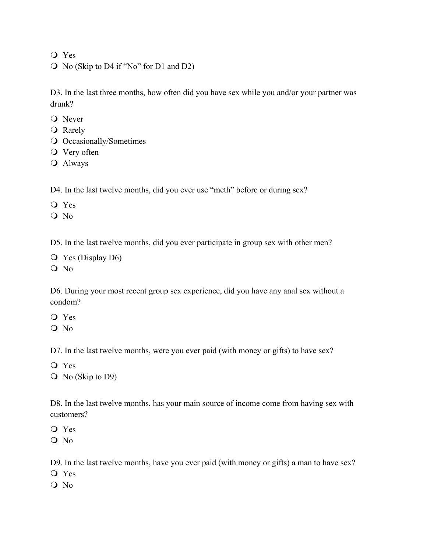Yes

No (Skip to D4 if "No" for D1 and D2)

D3. In the last three months, how often did you have sex while you and/or your partner was drunk?

- **O** Never
- **O** Rarely
- Occasionally/Sometimes
- Very often
- Always

D4. In the last twelve months, did you ever use "meth" before or during sex?

Yes

Q No

D5. In the last twelve months, did you ever participate in group sex with other men?

 Yes (Display D6) No

D6. During your most recent group sex experience, did you have any anal sex without a condom?

- Yes
- $O$  No

D7. In the last twelve months, were you ever paid (with money or gifts) to have sex?

- Yes
- Q No (Skip to D9)

D8. In the last twelve months, has your main source of income come from having sex with customers?

Yes

Q No

D9. In the last twelve months, have you ever paid (with money or gifts) a man to have sex?

- Yes
- O No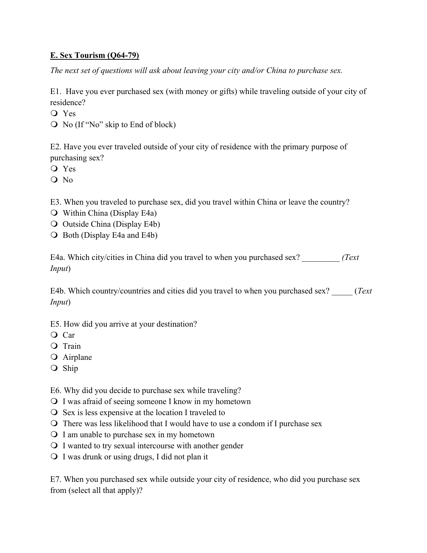## **E. Sex Tourism (Q64-79)**

*The next set of questions will ask about leaving your city and/or China to purchase sex.*

E1. Have you ever purchased sex (with money or gifts) while traveling outside of your city of residence?

Yes

No (If "No" skip to End of block)

E2. Have you ever traveled outside of your city of residence with the primary purpose of purchasing sex?

Yes

O No

E3. When you traveled to purchase sex, did you travel within China or leave the country?

- Within China (Display E4a)
- Outside China (Display E4b)
- $\overline{O}$  Both (Display E4a and E4b)

E4a. Which city/cities in China did you travel to when you purchased sex? \_\_\_\_\_\_\_\_\_ *(Text Input*)

E4b. Which country/countries and cities did you travel to when you purchased sex? \_\_\_\_\_ (*Text Input*)

E5. How did you arrive at your destination?

Q Car

- O Train
- Airplane
- O Ship

E6. Why did you decide to purchase sex while traveling?

- I was afraid of seeing someone I know in my hometown
- $\overline{O}$  Sex is less expensive at the location I traveled to
- There was less likelihood that I would have to use a condom if I purchase sex
- $\Omega$  I am unable to purchase sex in my hometown
- I wanted to try sexual intercourse with another gender
- I was drunk or using drugs, I did not plan it

E7. When you purchased sex while outside your city of residence, who did you purchase sex from (select all that apply)?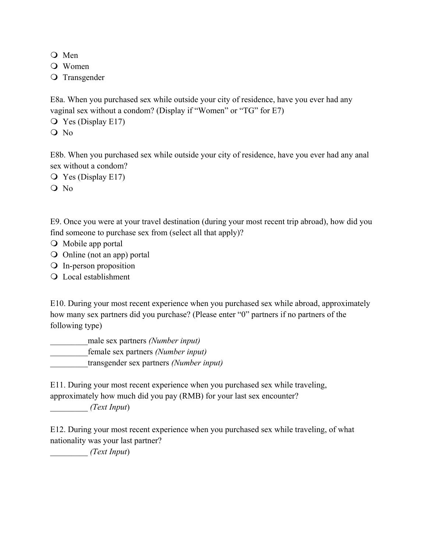- O Men
- Women
- O Transgender

E8a. When you purchased sex while outside your city of residence, have you ever had any vaginal sex without a condom? (Display if "Women" or "TG" for E7)

- Yes (Display E17)
- Q No

E8b. When you purchased sex while outside your city of residence, have you ever had any anal sex without a condom?

Yes (Display E17)

O No

E9. Once you were at your travel destination (during your most recent trip abroad), how did you find someone to purchase sex from (select all that apply)?

- $\overline{O}$  Mobile app portal
- Online (not an app) portal
- In-person proposition
- Local establishment

E10. During your most recent experience when you purchased sex while abroad, approximately how many sex partners did you purchase? (Please enter "0" partners if no partners of the following type)

\_\_\_\_\_\_\_\_\_male sex partners *(Number input)* female sex partners *(Number input)* \_\_\_\_\_\_\_\_\_transgender sex partners *(Number input)*

E11. During your most recent experience when you purchased sex while traveling, approximately how much did you pay (RMB) for your last sex encounter?

\_\_\_\_\_\_\_\_\_ *(Text Input*)

E12. During your most recent experience when you purchased sex while traveling, of what nationality was your last partner?

\_\_\_\_\_\_\_\_\_ *(Text Input*)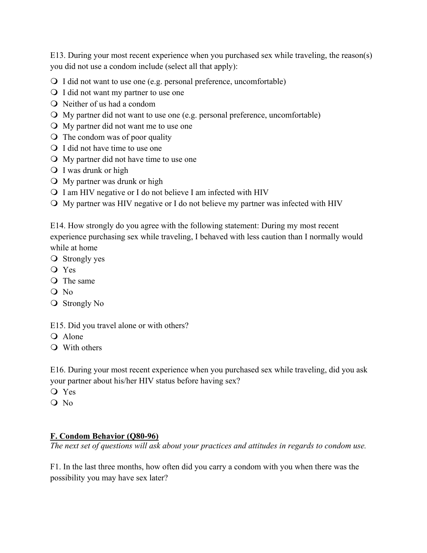E13. During your most recent experience when you purchased sex while traveling, the reason(s) you did not use a condom include (select all that apply):

- I did not want to use one (e.g. personal preference, uncomfortable)
- I did not want my partner to use one
- Neither of us had a condom
- My partner did not want to use one (e.g. personal preference, uncomfortable)
- My partner did not want me to use one
- $\overline{Q}$  The condom was of poor quality
- Q I did not have time to use one
- My partner did not have time to use one
- I was drunk or high
- My partner was drunk or high
- I am HIV negative or I do not believe I am infected with HIV
- My partner was HIV negative or I do not believe my partner was infected with HIV

E14. How strongly do you agree with the following statement: During my most recent experience purchasing sex while traveling, I behaved with less caution than I normally would while at home

- O Strongly yes
- Yes
- O The same
- O No
- **O** Strongly No

E15. Did you travel alone or with others?

- Q Alone
- With others

E16. During your most recent experience when you purchased sex while traveling, did you ask your partner about his/her HIV status before having sex?

- Yes
- Q No

### **F. Condom Behavior (Q80-96)**

*The next set of questions will ask about your practices and attitudes in regards to condom use.*

F1. In the last three months, how often did you carry a condom with you when there was the possibility you may have sex later?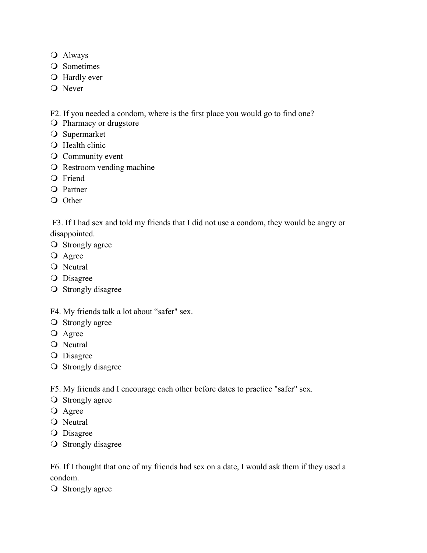- Always
- Q Sometimes
- **O** Hardly ever
- **O** Never

F2. If you needed a condom, where is the first place you would go to find one?

- O Pharmacy or drugstore
- O Supermarket
- **Q** Health clinic
- Community event
- O Restroom vending machine
- **O** Friend
- O Partner
- O Other

F3. If I had sex and told my friends that I did not use a condom, they would be angry or disappointed.

- **O** Strongly agree
- O Agree
- Q Neutral
- O Disagree
- O Strongly disagree
- F4. My friends talk a lot about "safer" sex.
- **O** Strongly agree
- O Agree
- O Neutral
- O Disagree
- **O** Strongly disagree

F5. My friends and I encourage each other before dates to practice "safer" sex.

- **O** Strongly agree
- **O** Agree
- O Neutral
- O Disagree
- **O** Strongly disagree

F6. If I thought that one of my friends had sex on a date, I would ask them if they used a condom.

**O** Strongly agree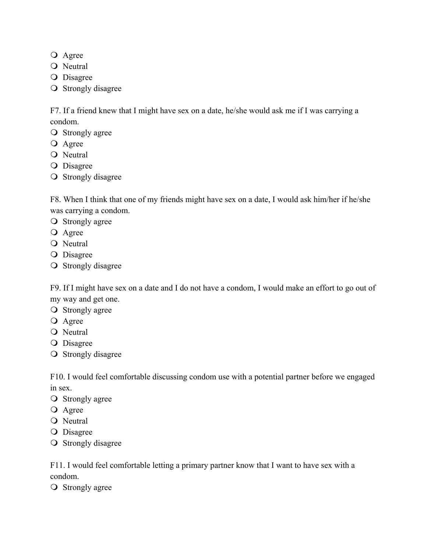- **O** Agree
- **O** Neutral
- O Disagree
- O Strongly disagree

F7. If a friend knew that I might have sex on a date, he/she would ask me if I was carrying a condom.

- **O** Strongly agree
- **O** Agree
- O Neutral
- O Disagree
- O Strongly disagree

F8. When I think that one of my friends might have sex on a date, I would ask him/her if he/she was carrying a condom.

- **O** Strongly agree
- **O** Agree
- O Neutral
- O Disagree
- O Strongly disagree

F9. If I might have sex on a date and I do not have a condom, I would make an effort to go out of my way and get one.

- **O** Strongly agree
- O Agree
- O Neutral
- **O** Disagree
- O Strongly disagree

F10. I would feel comfortable discussing condom use with a potential partner before we engaged in sex.

- **O** Strongly agree
- O Agree
- O Neutral
- **O** Disagree
- **O** Strongly disagree

F11. I would feel comfortable letting a primary partner know that I want to have sex with a condom.

**O** Strongly agree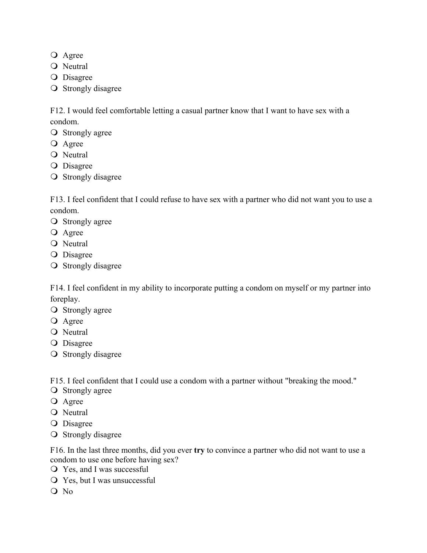- **O** Agree
- **O** Neutral
- O Disagree
- O Strongly disagree

F12. I would feel comfortable letting a casual partner know that I want to have sex with a condom.

- **O** Strongly agree
- **O** Agree
- O Neutral
- **O** Disagree
- **O** Strongly disagree

F13. I feel confident that I could refuse to have sex with a partner who did not want you to use a condom.

- **O** Strongly agree
- **O** Agree
- O Neutral
- O Disagree
- **O** Strongly disagree

F14. I feel confident in my ability to incorporate putting a condom on myself or my partner into foreplay.

- **O** Strongly agree
- O Agree
- O Neutral
- **O** Disagree
- **O** Strongly disagree

F15. I feel confident that I could use a condom with a partner without "breaking the mood."

- **O** Strongly agree
- O Agree
- O Neutral
- O Disagree
- **O** Strongly disagree

F16. In the last three months, did you ever **try** to convince a partner who did not want to use a condom to use one before having sex?

- Yes, and I was successful
- Yes, but I was unsuccessful
- O No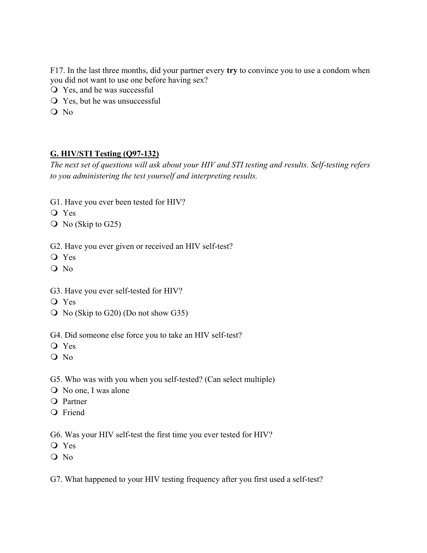F17. In the last three months, did your partner every **try** to convince you to use a condom when you did not want to use one before having sex?

- Yes, and he was successful
- Yes, but he was unsuccessful
- O No

### **G. HIV/STI Testing (Q97-132)**

*The next set of questions will ask about your HIV and STI testing and results. Self-testing refers to you administering the test yourself and interpreting results.*

- G1. Have you ever been tested for HIV?
- Yes
- No (Skip to G25)

G2. Have you ever given or received an HIV self-test?

- Yes
- O No
- G3. Have you ever self-tested for HIV?
- Yes
- No (Skip to G20) (Do not show G35)
- G4. Did someone else force you to take an HIV self-test?
- Yes
- O No

#### G5. Who was with you when you self-tested? (Can select multiple)

- No one, I was alone
- O Partner
- O Friend

G6. Was your HIV self-test the first time you ever tested for HIV?

- Yes
- O No

G7. What happened to your HIV testing frequency after you first used a self-test?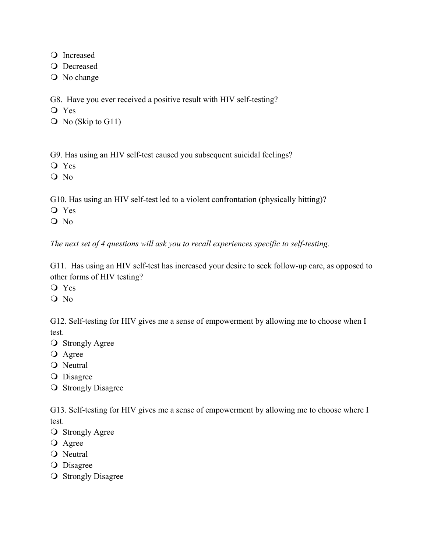Q Increased

O Decreased

No change

G8. Have you ever received a positive result with HIV self-testing?

Yes

Q No (Skip to G11)

G9. Has using an HIV self-test caused you subsequent suicidal feelings?

Yes

O No

G10. Has using an HIV self-test led to a violent confrontation (physically hitting)?

Yes

Q No

*The next set of 4 questions will ask you to recall experiences specific to self-testing.* 

G11. Has using an HIV self-test has increased your desire to seek follow-up care, as opposed to other forms of HIV testing?

Yes

 $O$  No

G12. Self-testing for HIV gives me a sense of empowerment by allowing me to choose when I test.

- **O** Strongly Agree
- **O** Agree

O Neutral

O Disagree

**O** Strongly Disagree

G13. Self-testing for HIV gives me a sense of empowerment by allowing me to choose where I test.

**O** Strongly Agree

**O** Agree

O Neutral

**O** Disagree

**O** Strongly Disagree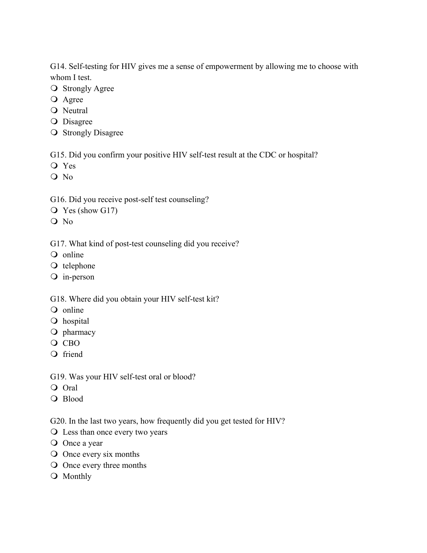G14. Self-testing for HIV gives me a sense of empowerment by allowing me to choose with whom I test.

- O Strongly Agree
- O Agree
- O Neutral
- O Disagree
- **O** Strongly Disagree

G15. Did you confirm your positive HIV self-test result at the CDC or hospital?

- Yes
- O No

G16. Did you receive post-self test counseling?

- Yes (show G17)
- Q No

G17. What kind of post-test counseling did you receive?

- Q online
- O telephone
- in-person

G18. Where did you obtain your HIV self-test kit?

- Q online
- O hospital
- O pharmacy
- $O$  CBO
- O friend
- G19. Was your HIV self-test oral or blood?
- Oral
- O Blood

G20. In the last two years, how frequently did you get tested for HIV?

- Less than once every two years
- O Once a year
- Once every six months
- Once every three months
- Q Monthly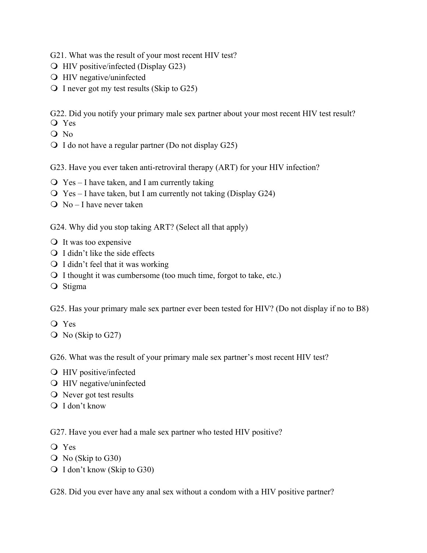G21. What was the result of your most recent HIV test?

- HIV positive/infected (Display G23)
- HIV negative/uninfected
- $\bigcirc$  I never got my test results (Skip to G25)

G22. Did you notify your primary male sex partner about your most recent HIV test result?

- Yes
- Q No
- $\bigcirc$  I do not have a regular partner (Do not display G25)

G23. Have you ever taken anti-retroviral therapy (ART) for your HIV infection?

- $\overline{O}$  Yes I have taken, and I am currently taking
- $\overline{O}$  Yes I have taken, but I am currently not taking (Display G24)
- $\overline{O}$  No I have never taken

G24. Why did you stop taking ART? (Select all that apply)

- It was too expensive
- $\bigcirc$  I didn't like the side effects
- $\bigcirc$  I didn't feel that it was working
- I thought it was cumbersome (too much time, forgot to take, etc.)
- O Stigma

G25. Has your primary male sex partner ever been tested for HIV? (Do not display if no to B8)

- Yes
- $\overline{O}$  No (Skip to G27)

G26. What was the result of your primary male sex partner's most recent HIV test?

- HIV positive/infected
- HIV negative/uninfected
- Never got test results
- Q I don't know

G27. Have you ever had a male sex partner who tested HIV positive?

- Yes
- No (Skip to G30)
- Q I don't know (Skip to G30)

G28. Did you ever have any anal sex without a condom with a HIV positive partner?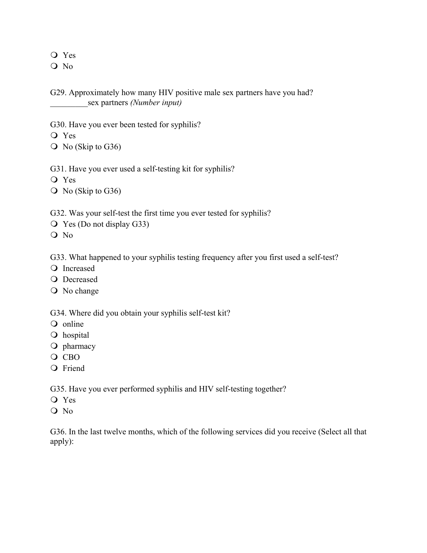Yes

O No

G29. Approximately how many HIV positive male sex partners have you had? \_\_\_\_\_\_\_\_\_sex partners *(Number input)*

G30. Have you ever been tested for syphilis?

- Yes
- $\overline{O}$  No (Skip to G36)
- G31. Have you ever used a self-testing kit for syphilis?
- Yes
- $\overline{O}$  No (Skip to G36)

G32. Was your self-test the first time you ever tested for syphilis?

- Yes (Do not display G33)
- O No

G33. What happened to your syphilis testing frequency after you first used a self-test?

- O Increased
- **O** Decreased
- No change

G34. Where did you obtain your syphilis self-test kit?

- Q online
- O hospital
- O pharmacy
- O CBO
- **O** Friend

G35. Have you ever performed syphilis and HIV self-testing together?

- Yes
- O No

G36. In the last twelve months, which of the following services did you receive (Select all that apply):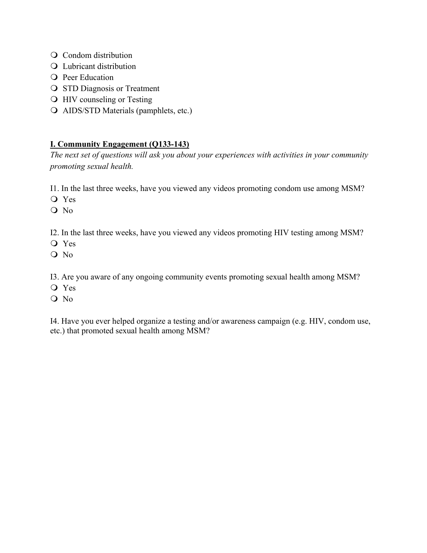- O Condom distribution
- Q Lubricant distribution
- **O** Peer Education
- **O** STD Diagnosis or Treatment
- HIV counseling or Testing
- AIDS/STD Materials (pamphlets, etc.)

## **I. Community Engagement (Q133-143)**

*The next set of questions will ask you about your experiences with activities in your community promoting sexual health.*

I1. In the last three weeks, have you viewed any videos promoting condom use among MSM?

Yes

O No

I2. In the last three weeks, have you viewed any videos promoting HIV testing among MSM?

- Yes
- O No

I3. Are you aware of any ongoing community events promoting sexual health among MSM?

- Yes
- Q No

I4. Have you ever helped organize a testing and/or awareness campaign (e.g. HIV, condom use, etc.) that promoted sexual health among MSM?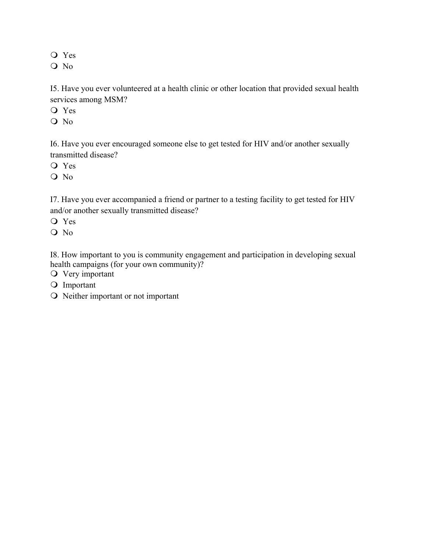Yes

O No

I5. Have you ever volunteered at a health clinic or other location that provided sexual health services among MSM?

Yes

O No

I6. Have you ever encouraged someone else to get tested for HIV and/or another sexually transmitted disease?

Yes

O No

I7. Have you ever accompanied a friend or partner to a testing facility to get tested for HIV and/or another sexually transmitted disease?

Yes

 $O$  No

I8. How important to you is community engagement and participation in developing sexual health campaigns (for your own community)?

Very important

O Important

O Neither important or not important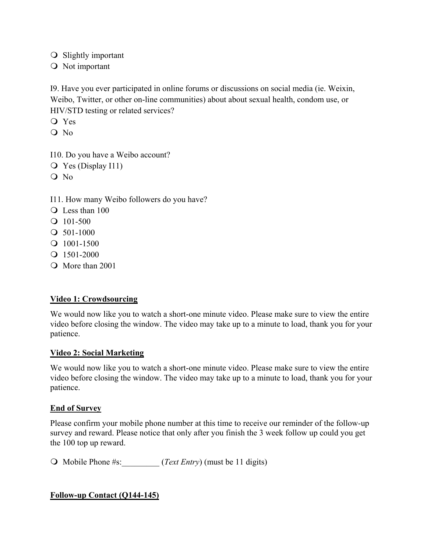- O Slightly important
- O Not important

I9. Have you ever participated in online forums or discussions on social media (ie. Weixin, Weibo, Twitter, or other on-line communities) about about sexual health, condom use, or HIV/STD testing or related services?

- Yes
- $O$  No

I10. Do you have a Weibo account?

- Yes (Display I11)
- O No

I11. How many Weibo followers do you have?

- Q Less than 100
- $Q$  101-500
- $Q$  501-1000
- $Q$  1001-1500
- $Q$  1501-2000
- Q More than 2001

### **Video 1: Crowdsourcing**

We would now like you to watch a short-one minute video. Please make sure to view the entire video before closing the window. The video may take up to a minute to load, thank you for your patience.

### **Video 2: Social Marketing**

We would now like you to watch a short-one minute video. Please make sure to view the entire video before closing the window. The video may take up to a minute to load, thank you for your patience.

### **End of Survey**

Please confirm your mobile phone number at this time to receive our reminder of the follow-up survey and reward. Please notice that only after you finish the 3 week follow up could you get the 100 top up reward.

O Mobile Phone #s:  $(Text \, Entry)$  (must be 11 digits)

### **Follow-up Contact (Q144-145)**